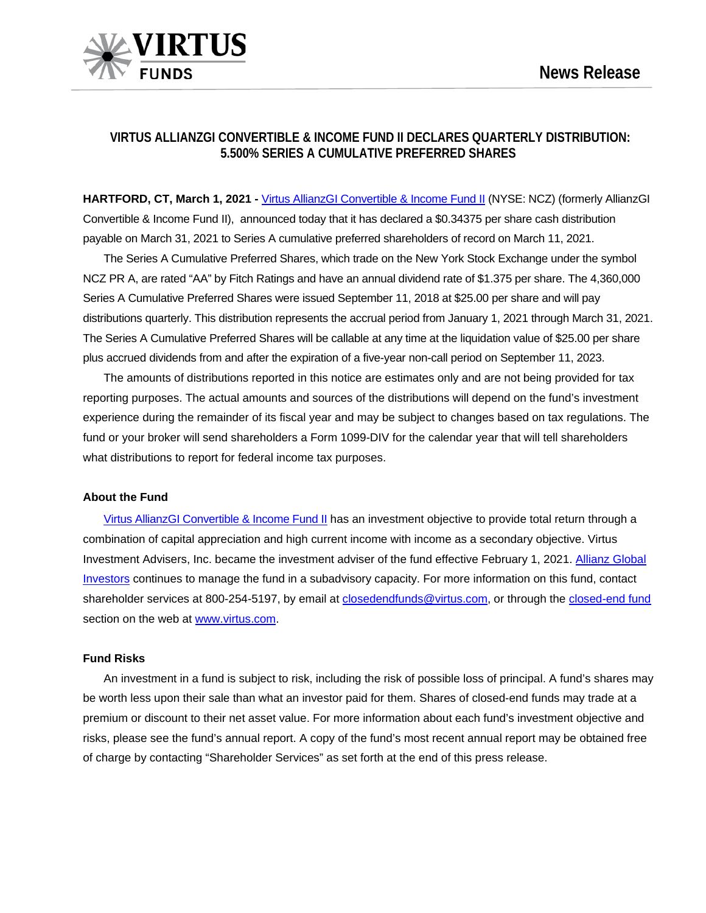

# **VIRTUS ALLIANZGI CONVERTIBLE & INCOME FUND II DECLARES QUARTERLY DISTRIBUTION: 5.500% SERIES A CUMULATIVE PREFERRED SHARES**

**HARTFORD, CT, March 1, 2021 -** [Virtus AllianzGI Convertible & Income Fund II](https://www.virtus.com/products/virtus-allianzgi-convertible-income-fund-ii) (NYSE: NCZ) (formerly AllianzGI Convertible & Income Fund II), announced today that it has declared a \$0.34375 per share cash distribution payable on March 31, 2021 to Series A cumulative preferred shareholders of record on March 11, 2021.

The Series A Cumulative Preferred Shares, which trade on the New York Stock Exchange under the symbol NCZ PR A, are rated "AA" by Fitch Ratings and have an annual dividend rate of \$1.375 per share. The 4,360,000 Series A Cumulative Preferred Shares were issued September 11, 2018 at \$25.00 per share and will pay distributions quarterly. This distribution represents the accrual period from January 1, 2021 through March 31, 2021. The Series A Cumulative Preferred Shares will be callable at any time at the liquidation value of \$25.00 per share plus accrued dividends from and after the expiration of a five-year non-call period on September 11, 2023.

The amounts of distributions reported in this notice are estimates only and are not being provided for tax reporting purposes. The actual amounts and sources of the distributions will depend on the fund's investment experience during the remainder of its fiscal year and may be subject to changes based on tax regulations. The fund or your broker will send shareholders a Form 1099-DIV for the calendar year that will tell shareholders what distributions to report for federal income tax purposes.

### **About the Fund**

[Virtus AllianzGI Convertible & Income Fund II](https://www.virtus.com/products/virtus-allianzgi-convertible-income-fund-ii) has an investment objective to provide total return through a combination of capital appreciation and high current income with income as a secondary objective. Virtus Investment Advisers, Inc. became the investment adviser of the fund effective February 1, 2021. [Allianz Global](https://www.virtus.com/investment-partners/allianz-global-investors-us-llc)  [Investors](https://www.virtus.com/investment-partners/allianz-global-investors-us-llc) continues to manage the fund in a subadvisory capacity. For more information on this fund, contact shareholder services at 800-254-5197, by email at [closedendfunds@virtus.com,](mailto:closedendfunds@virtus.com) or through the closed-end fund section on the web at [www.virtus.com.](http://www.virtus.com/)

#### **Fund Risks**

An investment in a fund is subject to risk, including the risk of possible loss of principal. A fund's shares may be worth less upon their sale than what an investor paid for them. Shares of closed-end funds may trade at a premium or discount to their net asset value. For more information about each fund's investment objective and risks, please see the fund's annual report. A copy of the fund's most recent annual report may be obtained free of charge by contacting "Shareholder Services" as set forth at the end of this press release.